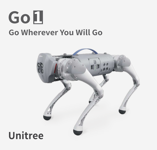

### **Go Wherever You Will Go**



## **Unitree**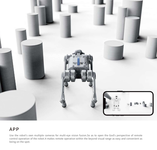

#### APP

Use the robot's own multiple cameras for multi-eye vision fusion.So as to open the God's perspective of remote control operation of the robot.It makes remote operation within the beyond visual range as easy and convenient as being on the spot.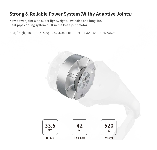#### **Strong & Reliable Power System(Withy Adaptive Joints)**

New power joint with super lightweight, low noise and long life. Heat pipe cooling system built in the knee joint motor.

Body/thigh joints C1-8: 520g 23.70N.m; Knee joint C1-8×1.5ratio 35.55N.m;

![](_page_2_Picture_3.jpeg)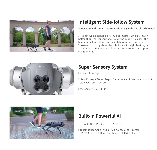![](_page_3_Picture_0.jpeg)

#### **Intelligent Side-follow System**

Adopt Patented Wireless Vector Positioning And Control Technology

1) Robot walks alongside its human master, which is much better than the conventional following mode. Besides, the human-machine interaction is both harmonious and safe. 2)No need to worry about the robot since it's right beside you. 3) Capable of helping robot choosing better route in complex environment.

![](_page_3_Picture_4.jpeg)

#### **Super Sensory System**

Full View Coverage

5 Sets Fish-eye Stereo Depth Cameras + Ai Post-processing + 3 Sets Hypersonic Sensors

Lens Angle ≈ 150×170°

![](_page_3_Picture_9.jpeg)

#### **Built-in Powerful AI**

16 core CPU + GPU(384Core, 1.5TFLOPS)

For comparison, the Nvidia TX2 only has CPU (4 cores) +GPU(256Core, 1.3TFlops) with price at 468+dollar.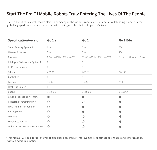#### Start The Era Of Mobile Robots Truly Entering The Lives Of The People

Unitree Robotics is a well-known start-up company in the world's robotics circle, and an outstanding pioneer in the global high-performance quadruped market, pushing mobile robots into people's lives.

| <b>Specification/version</b>      | Go 1 air                                                   | Go <sub>1</sub>                             | Go 1 Edu                   |
|-----------------------------------|------------------------------------------------------------|---------------------------------------------|----------------------------|
| Super Sensory System 1            | 1Set                                                       | 5Set                                        | 5Set                       |
| Ultrasonic Sensor                 | 3Set                                                       | 3Set                                        | 4Set                       |
| Processor                         | $1*(4*1.43GHz 128Core 0.5T)$                               | 3* (4*1.43GHz 128Core 0.5T)                 | $1$ Nano + (2 Nano or 2Nx) |
| Intelligent Side-follow System 1  | 1                                                          | 1                                           | 1                          |
| RTT1 Transmission                 | 1                                                          | 1                                           | 1                          |
| Adapter                           | 24V, 4A                                                    | 24V, 6A                                     | 24V, 6A                    |
| Controller                        | 1                                                          | 1                                           | 1                          |
| Payload                           | $\approx$ 3Kg                                              | $\approx$ 3Kg                               | $\approx$ 5Kg              |
| Heat Pipe Cooler                  | 1                                                          | 1                                           | 1                          |
| Speed                             | $0 - 2.5m/s$                                               | $0 - 3.5m/s$                                | $0 - 3.7 m/s$              |
| Graphic Processing API (OTA)      | œ                                                          | O                                           |                            |
| Research Programming API          | ○                                                          | ( )                                         |                            |
| HAI 1 Human Recognition           | $\bigcirc$                                                 | <b>CONTRACT</b>                             |                            |
| <b>APP Top View</b>               | $\left(\begin{smallmatrix} \ \ \ \end{smallmatrix}\right)$ |                                             |                            |
| 4G Or 5G                          | $(\ )$                                                     | ( )                                         |                            |
| Foot Force Sensor                 | ∩                                                          | ( )                                         |                            |
| Multifunction Extension Interface | O                                                          | $\left(\begin{array}{c} \end{array}\right)$ |                            |

\*This manual will be appropriately modified based on product improvements, specification changes and other reasons, without additional notice.